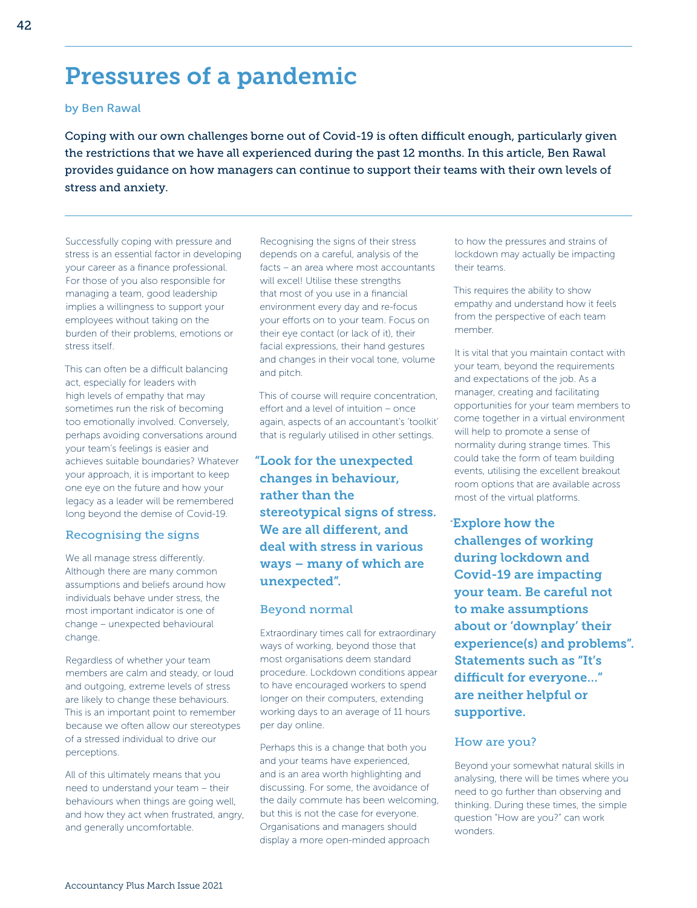# Pressures of a pandemic

### by Ben Rawal

Coping with our own challenges borne out of Covid-19 is often difficult enough, particularly given the restrictions that we have all experienced during the past 12 months. In this article, Ben Rawal provides guidance on how managers can continue to support their teams with their own levels of stress and anxiety.

Successfully coping with pressure and stress is an essential factor in developing your career as a finance professional. For those of you also responsible for managing a team, good leadership implies a willingness to support your employees without taking on the burden of their problems, emotions or stress itself.

This can often be a difficult balancing act, especially for leaders with high levels of empathy that may sometimes run the risk of becoming too emotionally involved. Conversely, perhaps avoiding conversations around your team's feelings is easier and achieves suitable boundaries? Whatever your approach, it is important to keep one eye on the future and how your legacy as a leader will be remembered long beyond the demise of Covid-19.

### Recognising the signs

We all manage stress differently. Although there are many common assumptions and beliefs around how individuals behave under stress, the most important indicator is one of change – unexpected behavioural change.

Regardless of whether your team members are calm and steady, or loud and outgoing, extreme levels of stress are likely to change these behaviours. This is an important point to remember because we often allow our stereotypes of a stressed individual to drive our perceptions.

All of this ultimately means that you need to understand your team – their behaviours when things are going well, and how they act when frustrated, angry, and generally uncomfortable.

Recognising the signs of their stress depends on a careful, analysis of the facts – an area where most accountants will excel! Utilise these strengths that most of you use in a financial environment every day and re-focus your efforts on to your team. Focus on their eye contact (or lack of it), their facial expressions, their hand gestures and changes in their vocal tone, volume and pitch.

This of course will require concentration, effort and a level of intuition – once again, aspects of an accountant's 'toolkit' that is regularly utilised in other settings.

# "Look for the unexpected changes in behaviour, rather than the stereotypical signs of stress. We are all different, and deal with stress in various ways – many of which are unexpected".

#### Beyond normal

Extraordinary times call for extraordinary ways of working, beyond those that most organisations deem standard procedure. Lockdown conditions appear to have encouraged workers to spend longer on their computers, extending working days to an average of 11 hours per day online.

Perhaps this is a change that both you and your teams have experienced, and is an area worth highlighting and discussing. For some, the avoidance of the daily commute has been welcoming, but this is not the case for everyone. Organisations and managers should display a more open-minded approach

to how the pressures and strains of lockdown may actually be impacting their teams.

This requires the ability to show empathy and understand how it feels from the perspective of each team member.

It is vital that you maintain contact with your team, beyond the requirements and expectations of the job. As a manager, creating and facilitating opportunities for your team members to come together in a virtual environment will help to promote a sense of normality during strange times. This could take the form of team building events, utilising the excellent breakout room options that are available across most of the virtual platforms.

"Explore how the challenges of working during lockdown and Covid-19 are impacting your team. Be careful not to make assumptions about or 'downplay' their experience(s) and problems". Statements such as "It's difficult for everyone…" are neither helpful or supportive.

#### How are you?

Beyond your somewhat natural skills in analysing, there will be times where you need to go further than observing and thinking. During these times, the simple question "How are you?" can work wonders.